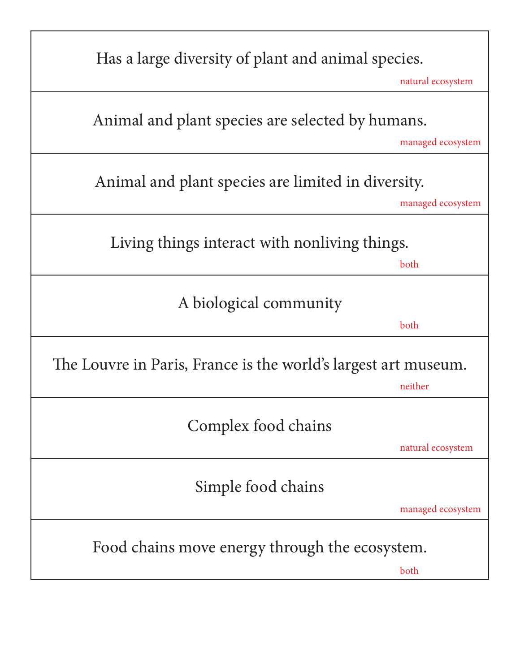| Has a large diversity of plant and animal species.             |                   |
|----------------------------------------------------------------|-------------------|
|                                                                | natural ecosystem |
| Animal and plant species are selected by humans.               |                   |
|                                                                | managed ecosystem |
| Animal and plant species are limited in diversity.             |                   |
|                                                                | managed ecosystem |
| Living things interact with nonliving things.                  |                   |
|                                                                | both              |
| A biological community                                         |                   |
|                                                                | both              |
| The Louvre in Paris, France is the world's largest art museum. |                   |
|                                                                | neither           |
| Complex food chains                                            |                   |
|                                                                | natural ecosystem |
| Simple food chains                                             |                   |
|                                                                | managed ecosystem |
| Food chains move energy through the ecosystem.                 |                   |
|                                                                | both              |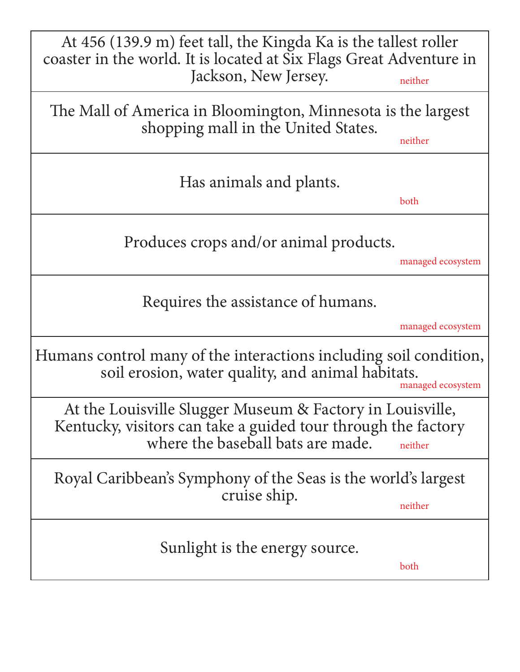| At 456 (139.9 m) feet tall, the Kingda Ka is the tallest roller<br>coaster in the world. It is located at Six Flags Great Adventure in<br>Jackson, New Jersey.<br>neither<br>The Mall of America in Bloomington, Minnesota is the largest<br>shopping mall in the United States.<br>neither<br>Has animals and plants.<br>both |  |
|--------------------------------------------------------------------------------------------------------------------------------------------------------------------------------------------------------------------------------------------------------------------------------------------------------------------------------|--|
|                                                                                                                                                                                                                                                                                                                                |  |
|                                                                                                                                                                                                                                                                                                                                |  |
|                                                                                                                                                                                                                                                                                                                                |  |
| Produces crops and/or animal products.<br>managed ecosystem                                                                                                                                                                                                                                                                    |  |
| Requires the assistance of humans.<br>managed ecosystem                                                                                                                                                                                                                                                                        |  |
| Humans control many of the interactions including soil condition,<br>soil erosion, water quality, and animal habitats.<br>managed ecosystem                                                                                                                                                                                    |  |
| At the Louisville Slugger Museum & Factory in Louisville,<br>Kentucky, visitors can take a guided tour through the factory<br>where the baseball bats are made.<br>neither                                                                                                                                                     |  |
| Royal Caribbean's Symphony of the Seas is the world's largest<br>cruise ship.<br>neither                                                                                                                                                                                                                                       |  |
| Sunlight is the energy source.<br>both                                                                                                                                                                                                                                                                                         |  |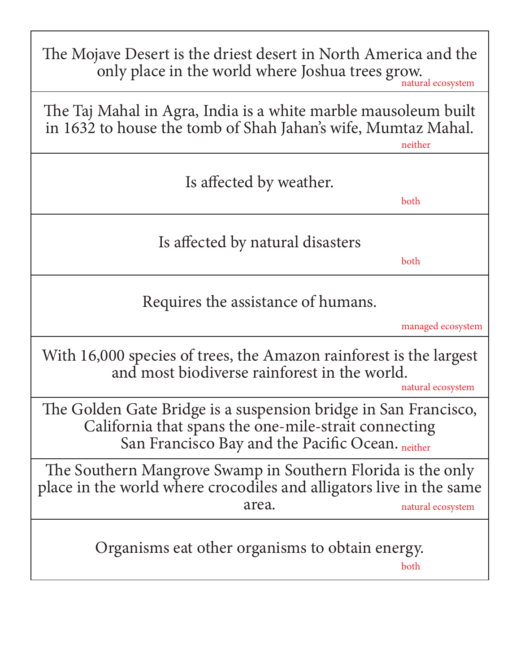The Mojave Desert is the driest desert in North America and the only place in the world where Joshua trees grow.

natural ecosystem

The Taj Mahal in Agra, India is a white marble mausoleum built in 1632 to house the tomb of Shah Jahan's wife, Mumtaz Mahal.

neither

| Heimer                                                                                                                                                                      |  |
|-----------------------------------------------------------------------------------------------------------------------------------------------------------------------------|--|
| Is affected by weather.<br>both                                                                                                                                             |  |
| Is affected by natural disasters<br>both                                                                                                                                    |  |
| Requires the assistance of humans.                                                                                                                                          |  |
| managed ecosystem<br>With 16,000 species of trees, the Amazon rainforest is the largest<br>and most biodiverse rainforest in the world.<br>natural ecosystem                |  |
| The Golden Gate Bridge is a suspension bridge in San Francisco,<br>California that spans the one-mile-strait connecting<br>San Francisco Bay and the Pacific Ocean. neither |  |
| The Southern Mangrove Swamp in Southern Florida is the only<br>place in the world where crocodiles and alligators live in the same<br>area.<br>natural ecosystem            |  |
| Organisms eat other organisms to obtain energy.<br>both                                                                                                                     |  |